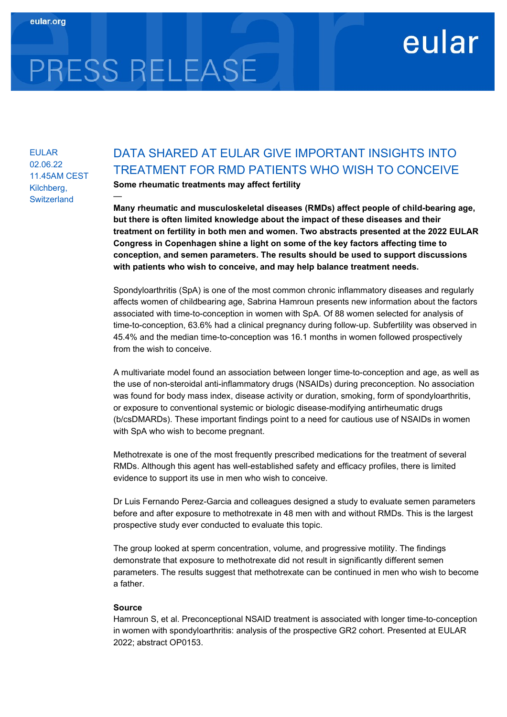# PRESS RELEASE

—

EULAR 02.06.22 11.45AM CEST Kilchberg, **Switzerland** 

## DATA SHARED AT EULAR GIVE IMPORTANT INSIGHTS INTO TREATMENT FOR RMD PATIENTS WHO WISH TO CONCEIVE

eular

Some rheumatic treatments may affect fertility

Many rheumatic and musculoskeletal diseases (RMDs) affect people of child-bearing age, but there is often limited knowledge about the impact of these diseases and their treatment on fertility in both men and women. Two abstracts presented at the 2022 EULAR Congress in Copenhagen shine a light on some of the key factors affecting time to conception, and semen parameters. The results should be used to support discussions with patients who wish to conceive, and may help balance treatment needs.

Spondyloarthritis (SpA) is one of the most common chronic inflammatory diseases and regularly affects women of childbearing age, Sabrina Hamroun presents new information about the factors associated with time-to-conception in women with SpA. Of 88 women selected for analysis of time-to-conception, 63.6% had a clinical pregnancy during follow-up. Subfertility was observed in 45.4% and the median time-to-conception was 16.1 months in women followed prospectively from the wish to conceive.

A multivariate model found an association between longer time-to-conception and age, as well as the use of non-steroidal anti-inflammatory drugs (NSAIDs) during preconception. No association was found for body mass index, disease activity or duration, smoking, form of spondyloarthritis, or exposure to conventional systemic or biologic disease-modifying antirheumatic drugs (b/csDMARDs). These important findings point to a need for cautious use of NSAIDs in women with SpA who wish to become pregnant.

Methotrexate is one of the most frequently prescribed medications for the treatment of several RMDs. Although this agent has well-established safety and efficacy profiles, there is limited evidence to support its use in men who wish to conceive.

Dr Luis Fernando Perez-Garcia and colleagues designed a study to evaluate semen parameters before and after exposure to methotrexate in 48 men with and without RMDs. This is the largest prospective study ever conducted to evaluate this topic.

The group looked at sperm concentration, volume, and progressive motility. The findings demonstrate that exposure to methotrexate did not result in significantly different semen parameters. The results suggest that methotrexate can be continued in men who wish to become a father.

### Source

Hamroun S, et al. Preconceptional NSAID treatment is associated with longer time-to-conception in women with spondyloarthritis: analysis of the prospective GR2 cohort. Presented at EULAR 2022; abstract OP0153.